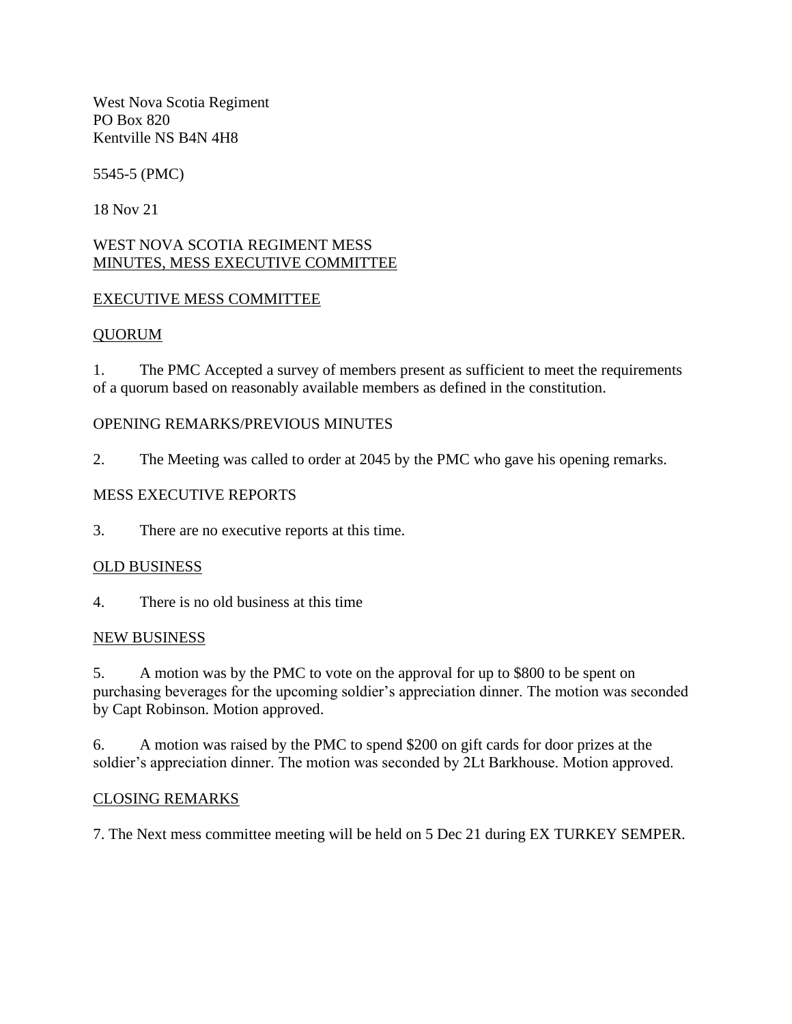West Nova Scotia Regiment PO Box 820 Kentville NS B4N 4H8

5545-5 (PMC)

18 Nov 21

## WEST NOVA SCOTIA REGIMENT MESS MINUTES, MESS EXECUTIVE COMMITTEE

## EXECUTIVE MESS COMMITTEE

## QUORUM

1. The PMC Accepted a survey of members present as sufficient to meet the requirements of a quorum based on reasonably available members as defined in the constitution.

## OPENING REMARKS/PREVIOUS MINUTES

2. The Meeting was called to order at 2045 by the PMC who gave his opening remarks.

## MESS EXECUTIVE REPORTS

3. There are no executive reports at this time.

## OLD BUSINESS

4. There is no old business at this time

## NEW BUSINESS

5. A motion was by the PMC to vote on the approval for up to \$800 to be spent on purchasing beverages for the upcoming soldier's appreciation dinner. The motion was seconded by Capt Robinson. Motion approved.

6. A motion was raised by the PMC to spend \$200 on gift cards for door prizes at the soldier's appreciation dinner. The motion was seconded by 2Lt Barkhouse. Motion approved.

## CLOSING REMARKS

7. The Next mess committee meeting will be held on 5 Dec 21 during EX TURKEY SEMPER.